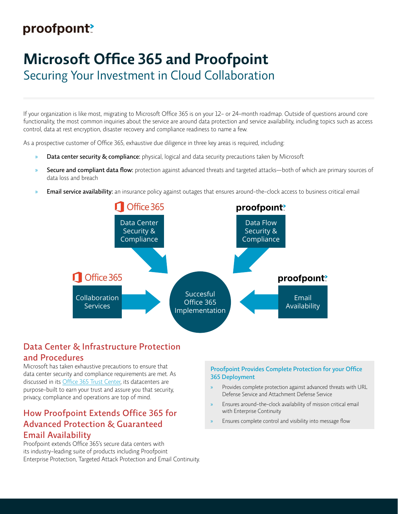# proofpoint?

# **Microsoft Office 365 and Proofpoint**

Securing Your Investment in Cloud Collaboration

If your organization is like most, migrating to Microsoft Office 365 is on your 12- or 24-month roadmap. Outside of questions around core functionality, the most common inquiries about the service are around data protection and service availability, including topics such as access control, data at rest encryption, disaster recovery and compliance readiness to name a few.

As a prospective customer of Office 365, exhaustive due diligence in three key areas is required, including:

- » Data center security & compliance: physical, logical and data security precautions taken by Microsoft
- Secure and compliant data flow: protection against advanced threats and targeted attacks—both of which are primary sources of data loss and breach
- **Email service availability:** an insurance policy against outages that ensures around-the-clock access to business critical email



## Data Center & Infrastructure Protection and Procedures

Microsoft has taken exhaustive precautions to ensure that data center security and compliance requirements are met. As discussed in its [Office 365 Trust Center](https://products.office.com/en-us/business/office-365-trust-center-cloud-computing-security), its datacenters are purpose-built to earn your trust and assure you that security, privacy, compliance and operations are top of mind.

### How Proofpoint Extends Office 365 for Advanced Protection & Guaranteed Email Availability

Proofpoint extends Office 365's secure data centers with its industry-leading suite of products including Proofpoint Enterprise Protection, Targeted Attack Protection and Email Continuity.

#### Proofpoint Provides Complete Protection for your Office 365 Deployment

- » Provides complete protection against advanced threats with URL Defense Service and Attachment Defense Service
- » Ensures around-the-clock availability of mission critical email with Enterprise Continuity
- » Ensures complete control and visibility into message flow